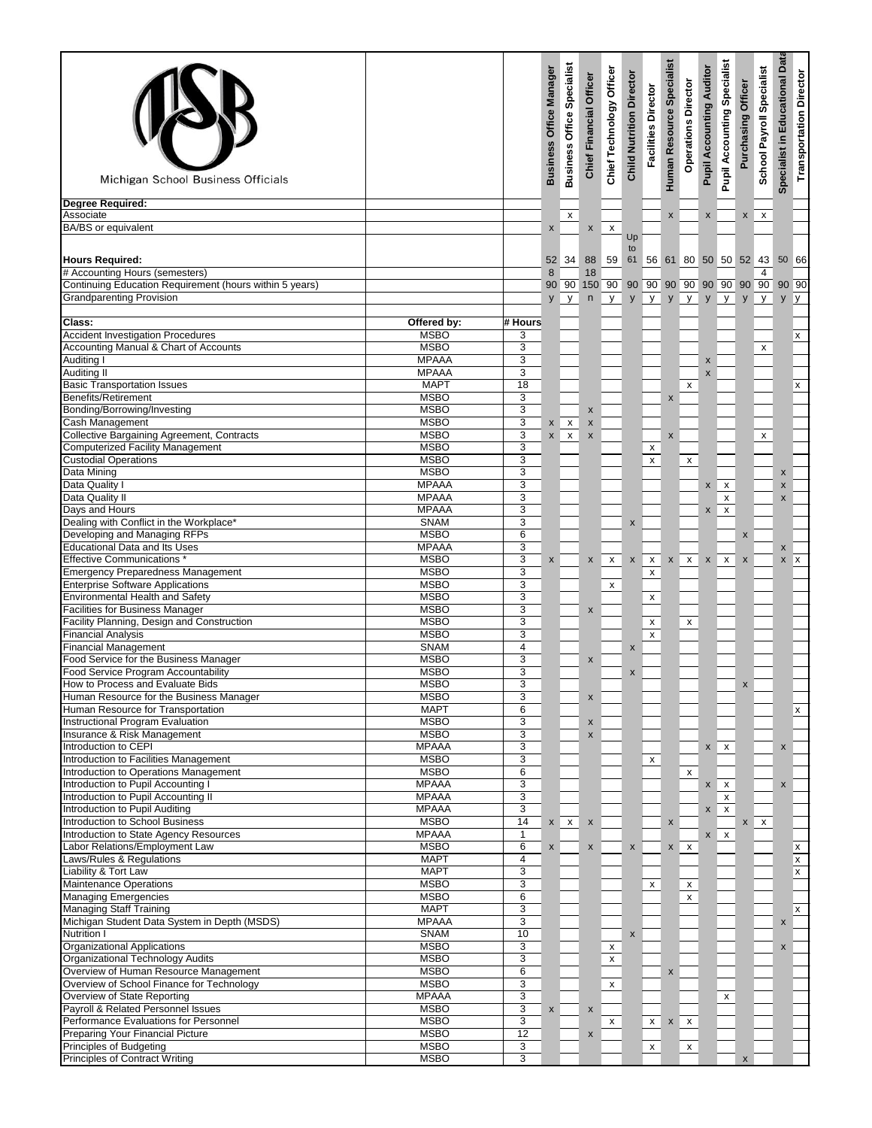| Michigan School Business Officials                                                  |                              |                      | <b>Business Office Manager</b> | <b>Business Office Specialist</b> | <b>Chief Financial Officer</b> | Chief Technology Officer                | <b>Child Nutrition Director</b> | <b>Facilities Director</b>  | Human Resource Specialist | <b>Operations Director</b> | <b>Pupil Accounting Auditor</b> | <b>Pupil Accounting Specialist</b> | Purchasing Officer | Payroll Specialist<br>School    | <b>Educational Data</b><br>Specialist in | <b>Transportation Director</b> |
|-------------------------------------------------------------------------------------|------------------------------|----------------------|--------------------------------|-----------------------------------|--------------------------------|-----------------------------------------|---------------------------------|-----------------------------|---------------------------|----------------------------|---------------------------------|------------------------------------|--------------------|---------------------------------|------------------------------------------|--------------------------------|
| <b>Degree Required:</b><br>Associate                                                |                              |                      |                                | X                                 |                                |                                         |                                 |                             | X                         |                            | $\pmb{\mathsf{x}}$              |                                    | $\mathsf{x}$       | $\mathsf{x}$                    |                                          |                                |
| BA/BS or equivalent                                                                 |                              |                      | X                              |                                   | X                              | X                                       | Up                              |                             |                           |                            |                                 |                                    |                    |                                 |                                          |                                |
|                                                                                     |                              |                      |                                |                                   |                                |                                         | to                              |                             |                           |                            |                                 |                                    |                    |                                 |                                          |                                |
| <b>Hours Required:</b><br># Accounting Hours (semesters)                            |                              |                      | 8                              | 52 34                             | 88<br>18                       | 59                                      | 61                              |                             |                           |                            |                                 |                                    |                    | 56 61 80 50 50 52 43 50 66<br>4 |                                          |                                |
| Continuing Education Requirement (hours within 5 years)                             |                              |                      |                                | 90 90                             |                                | 150 90 90 90 90 90 90 90 90 90 90 90 90 |                                 |                             |                           |                            |                                 |                                    |                    |                                 |                                          |                                |
| <b>Grandparenting Provision</b>                                                     |                              |                      | y                              | y                                 | $\sf n$                        | y                                       | y                               | y                           | y                         | y                          | y                               | y                                  | y                  | y                               | y                                        | $\mathsf{y}$                   |
| Class:                                                                              | Offered by:                  | # Hours              |                                |                                   |                                |                                         |                                 |                             |                           |                            |                                 |                                    |                    |                                 |                                          |                                |
| <b>Accident Investigation Procedures</b><br>Accounting Manual & Chart of Accounts   | <b>MSBO</b><br><b>MSBO</b>   | 3<br>3               |                                |                                   |                                |                                         |                                 |                             |                           |                            |                                 |                                    |                    | X                               |                                          | X                              |
| <b>Auditing I</b>                                                                   | <b>MPAAA</b>                 | 3                    |                                |                                   |                                |                                         |                                 |                             |                           |                            | X                               |                                    |                    |                                 |                                          |                                |
| Auditing II                                                                         | <b>MPAAA</b>                 | 3                    |                                |                                   |                                |                                         |                                 |                             |                           |                            | $\pmb{\mathsf{x}}$              |                                    |                    |                                 |                                          |                                |
| <b>Basic Transportation Issues</b>                                                  | <b>MAPT</b>                  | 18                   |                                |                                   |                                |                                         |                                 |                             |                           | X                          |                                 |                                    |                    |                                 |                                          | X                              |
| Benefits/Retirement<br>Bonding/Borrowing/Investing                                  | <b>MSBO</b><br><b>MSBO</b>   | 3<br>3               |                                |                                   | $\pmb{\times}$                 |                                         |                                 |                             | X                         |                            |                                 |                                    |                    |                                 |                                          |                                |
| Cash Management                                                                     | <b>MSBO</b>                  | 3                    | X                              | $\pmb{\mathsf{x}}$                | $\pmb{\mathsf{x}}$             |                                         |                                 |                             |                           |                            |                                 |                                    |                    |                                 |                                          |                                |
| Collective Bargaining Agreement, Contracts                                          | <b>MSBO</b>                  | 3                    | $\mathsf{x}$                   | $\pmb{\mathsf{x}}$                | $\pmb{\times}$                 |                                         |                                 |                             | X                         |                            |                                 |                                    |                    | $\pmb{\mathsf{X}}$              |                                          |                                |
| <b>Computerized Facility Management</b><br><b>Custodial Operations</b>              | <b>MSBO</b><br><b>MSBO</b>   | 3<br>3               |                                |                                   |                                |                                         |                                 | X                           |                           |                            |                                 |                                    |                    |                                 |                                          |                                |
| Data Mining                                                                         | <b>MSBO</b>                  | 3                    |                                |                                   |                                |                                         |                                 | $\pmb{\mathsf{x}}$          |                           | $\pmb{\mathsf{x}}$         |                                 |                                    |                    |                                 | X                                        |                                |
| Data Quality I                                                                      | <b>MPAAA</b>                 | $\overline{3}$       |                                |                                   |                                |                                         |                                 |                             |                           |                            | $\pmb{\mathsf{x}}$              | X                                  |                    |                                 | X                                        |                                |
| Data Quality II                                                                     | <b>MPAAA</b>                 | 3                    |                                |                                   |                                |                                         |                                 |                             |                           |                            |                                 | x                                  |                    |                                 | X                                        |                                |
| Days and Hours<br>Dealing with Conflict in the Workplace*                           | <b>MPAAA</b><br><b>SNAM</b>  | 3<br>3               |                                |                                   |                                |                                         | X                               |                             |                           |                            | $\mathsf{x}$                    | $\pmb{\times}$                     |                    |                                 |                                          |                                |
| Developing and Managing RFPs                                                        | <b>MSBO</b>                  | 6                    |                                |                                   |                                |                                         |                                 |                             |                           |                            |                                 |                                    | X                  |                                 |                                          |                                |
| <b>Educational Data and Its Uses</b>                                                | <b>MPAAA</b>                 | 3                    |                                |                                   |                                |                                         |                                 |                             |                           |                            |                                 |                                    |                    |                                 | X                                        |                                |
| <b>Effective Communications</b>                                                     | <b>MSBO</b>                  | 3                    | X                              |                                   | X                              | x                                       | $\mathsf{x}$                    | $X$ $X$                     |                           | x                          | $\mathsf{x}$                    | X                                  | $\pmb{\times}$     |                                 | $x \mathbf{X}$                           |                                |
| <b>Emergency Preparedness Management</b><br><b>Enterprise Software Applications</b> | <b>MSBO</b><br><b>MSBO</b>   | 3<br>3               |                                |                                   |                                | x                                       |                                 | X                           |                           |                            |                                 |                                    |                    |                                 |                                          |                                |
| Environmental Health and Safety                                                     | <b>MSBO</b>                  | 3                    |                                |                                   |                                |                                         |                                 | X                           |                           |                            |                                 |                                    |                    |                                 |                                          |                                |
| Facilities for Business Manager                                                     | <b>MSBO</b>                  | 3                    |                                |                                   | $\pmb{\times}$                 |                                         |                                 |                             |                           |                            |                                 |                                    |                    |                                 |                                          |                                |
| Facility Planning, Design and Construction<br><b>Financial Analysis</b>             | <b>MSBO</b><br><b>MSBO</b>   | 3<br>$\overline{3}$  |                                |                                   |                                |                                         |                                 | $\mathsf{x}$<br>$\mathsf X$ |                           | $\pmb{\mathsf{x}}$         |                                 |                                    |                    |                                 |                                          |                                |
| <b>Financial Management</b>                                                         | <b>SNAM</b>                  | $\overline{4}$       |                                |                                   |                                |                                         | $\pmb{\times}$                  |                             |                           |                            |                                 |                                    |                    |                                 |                                          |                                |
| Food Service for the Business Manager                                               | <b>MSBO</b>                  | $\overline{3}$       |                                |                                   | X                              |                                         |                                 |                             |                           |                            |                                 |                                    |                    |                                 |                                          |                                |
| Food Service Program Accountability                                                 | <b>MSBO</b>                  | 3                    |                                |                                   |                                |                                         | X                               |                             |                           |                            |                                 |                                    |                    |                                 |                                          |                                |
| How to Process and Evaluate Bids<br>Human Resource for the Business Manager         | <b>MSBO</b><br><b>MSBO</b>   | 3<br>3               |                                |                                   | $\pmb{\mathsf{x}}$             |                                         |                                 |                             |                           |                            |                                 |                                    | $\pmb{\times}$     |                                 |                                          |                                |
| Human Resource for Transportation                                                   | <b>MAPT</b>                  | 6                    |                                |                                   |                                |                                         |                                 |                             |                           |                            |                                 |                                    |                    |                                 |                                          | X                              |
| <b>Instructional Program Evaluation</b>                                             | <b>MSBO</b>                  | 3                    |                                |                                   | $\pmb{\mathsf{x}}$             |                                         |                                 |                             |                           |                            |                                 |                                    |                    |                                 |                                          |                                |
| Insurance & Risk Management<br>Introduction to CEPI                                 | <b>MSBO</b>                  | $\overline{3}$       |                                |                                   | X                              |                                         |                                 |                             |                           |                            |                                 |                                    |                    |                                 |                                          |                                |
| Introduction to Facilities Management                                               | <b>MPAAA</b><br><b>MSBO</b>  | 3<br>3               |                                |                                   |                                |                                         |                                 | $\mathsf{x}$                |                           |                            |                                 | $x \mid x$                         |                    |                                 | X                                        |                                |
| Introduction to Operations Management                                               | <b>MSBO</b>                  | 6                    |                                |                                   |                                |                                         |                                 |                             |                           | $\pmb{\mathsf{x}}$         |                                 |                                    |                    |                                 |                                          |                                |
| Introduction to Pupil Accounting I                                                  | <b>MPAAA</b>                 | 3                    |                                |                                   |                                |                                         |                                 |                             |                           |                            |                                 | $x \mid x$                         |                    |                                 | X                                        |                                |
| Introduction to Pupil Accounting II<br>Introduction to Pupil Auditing               | <b>MPAAA</b><br><b>MPAAA</b> | $\overline{3}$<br>3  |                                |                                   |                                |                                         |                                 |                             |                           |                            |                                 | $\pmb{\mathsf{x}}$<br>$x \mid x$   |                    |                                 |                                          |                                |
| Introduction to School Business                                                     | <b>MSBO</b>                  | 14                   |                                | $x \mid x$                        | $\boldsymbol{\mathsf{x}}$      |                                         |                                 |                             | $\pmb{\times}$            |                            |                                 |                                    |                    | $x \mid x$                      |                                          |                                |
| Introduction to State Agency Resources                                              | <b>MPAAA</b>                 | $\mathbf{1}$         |                                |                                   |                                |                                         |                                 |                             |                           |                            | $\mathsf{X}$                    | $\mathsf{x}$                       |                    |                                 |                                          |                                |
| Labor Relations/Employment Law                                                      | <b>MSBO</b>                  | 6                    | $\pmb{\mathsf{x}}$             |                                   | X                              |                                         | X                               |                             |                           | $x \mid x$                 |                                 |                                    |                    |                                 |                                          | <b>x</b>                       |
| Laws/Rules & Regulations<br>Liability & Tort Law                                    | <b>MAPT</b><br><b>MAPT</b>   | 4<br>3               |                                |                                   |                                |                                         |                                 |                             |                           |                            |                                 |                                    |                    |                                 |                                          | $\mathsf{x}$<br>$\mathsf{x}$   |
| Maintenance Operations                                                              | <b>MSBO</b>                  | 3                    |                                |                                   |                                |                                         |                                 | X                           |                           | x                          |                                 |                                    |                    |                                 |                                          |                                |
| <b>Managing Emergencies</b>                                                         | <b>MSBO</b>                  | 6                    |                                |                                   |                                |                                         |                                 |                             |                           | X                          |                                 |                                    |                    |                                 |                                          |                                |
| <b>Managing Staff Training</b>                                                      | <b>MAPT</b>                  | 3                    |                                |                                   |                                |                                         |                                 |                             |                           |                            |                                 |                                    |                    |                                 |                                          | $\mathsf{x}$                   |
| Michigan Student Data System in Depth (MSDS)<br><b>Nutrition I</b>                  | <b>MPAAA</b><br><b>SNAM</b>  | 3<br>10              |                                |                                   |                                |                                         | X                               |                             |                           |                            |                                 |                                    |                    |                                 | $\mathsf{x}$                             |                                |
| <b>Organizational Applications</b>                                                  | <b>MSBO</b>                  | 3                    |                                |                                   |                                | X                                       |                                 |                             |                           |                            |                                 |                                    |                    |                                 | X                                        |                                |
| Organizational Technology Audits                                                    | <b>MSBO</b>                  | 3                    |                                |                                   |                                | $\pmb{\mathsf{x}}$                      |                                 |                             |                           |                            |                                 |                                    |                    |                                 |                                          |                                |
| Overview of Human Resource Management<br>Overview of School Finance for Technology  | <b>MSBO</b><br><b>MSBO</b>   | $6\overline{6}$<br>3 |                                |                                   |                                |                                         |                                 |                             | X                         |                            |                                 |                                    |                    |                                 |                                          |                                |
| Overview of State Reporting                                                         | <b>MPAAA</b>                 | 3                    |                                |                                   |                                | $\mathsf{x}$                            |                                 |                             |                           |                            |                                 | X                                  |                    |                                 |                                          |                                |
| Payroll & Related Personnel Issues                                                  | <b>MSBO</b>                  | 3                    | $\pmb{\mathsf{X}}$             |                                   | $\boldsymbol{\mathsf{x}}$      |                                         |                                 |                             |                           |                            |                                 |                                    |                    |                                 |                                          |                                |
| Performance Evaluations for Personnel                                               | <b>MSBO</b>                  | 3                    |                                |                                   |                                | X                                       |                                 | $X$ $X$                     |                           | $\mathsf{x}$               |                                 |                                    |                    |                                 |                                          |                                |
| Preparing Your Financial Picture<br>Principles of Budgeting                         | <b>MSBO</b><br><b>MSBO</b>   | 12<br>3              |                                |                                   | X                              |                                         |                                 | $\mathsf{x}$                |                           | $\mathsf{x}$               |                                 |                                    |                    |                                 |                                          |                                |
| Principles of Contract Writing                                                      | <b>MSBO</b>                  | 3                    |                                |                                   |                                |                                         |                                 |                             |                           |                            |                                 |                                    | X                  |                                 |                                          |                                |